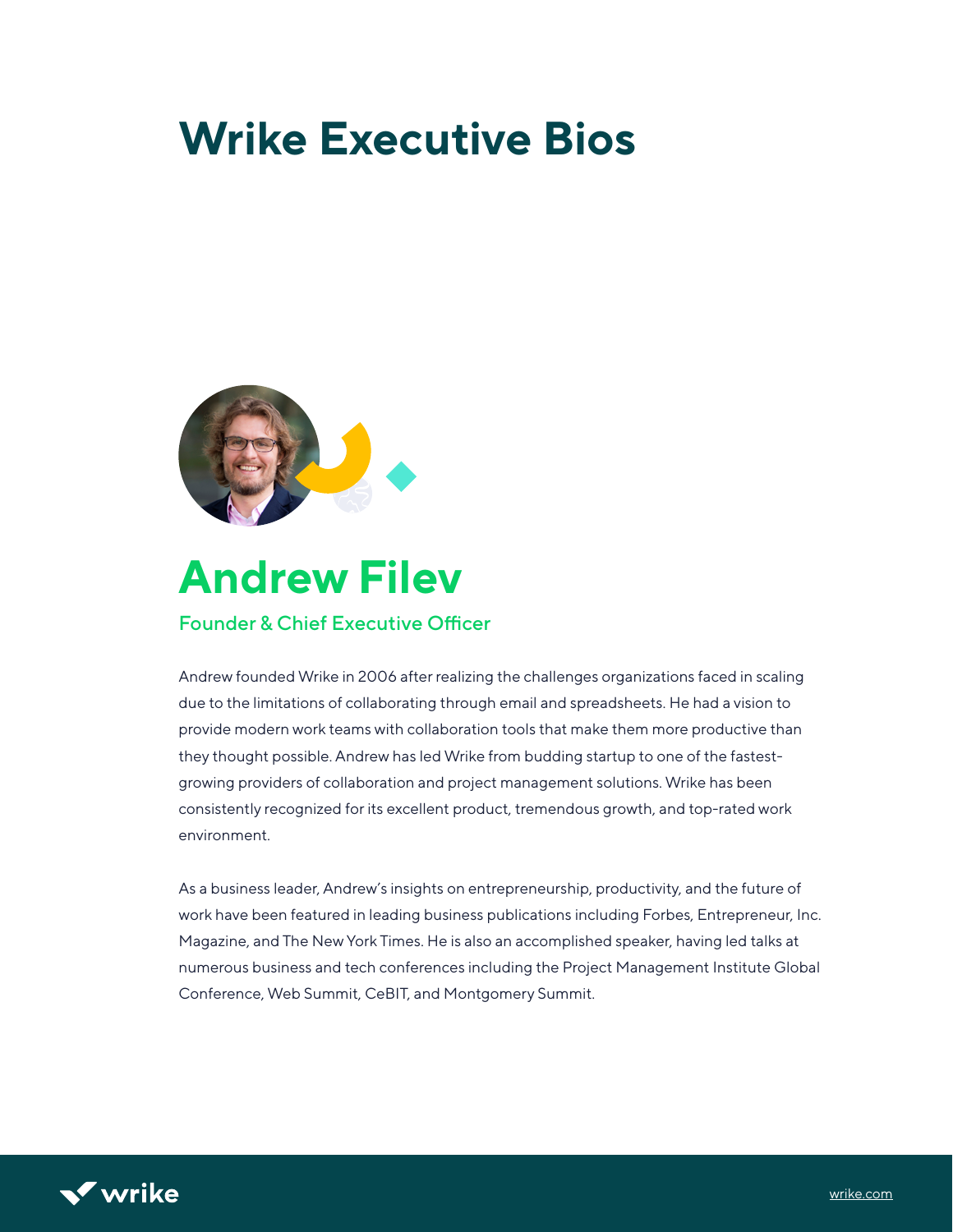# **Wrike Executive Bios**



### **Andrew Filev** Founder & Chief Executive Officer

Andrew founded Wrike in 2006 after realizing the challenges organizations faced in scaling due to the limitations of collaborating through email and spreadsheets. He had a vision to provide modern work teams with collaboration tools that make them more productive than they thought possible. Andrew has led Wrike from budding startup to one of the fastestgrowing providers of collaboration and project management solutions. Wrike has been consistently recognized for its excellent product, tremendous growth, and top-rated work environment.

As a business leader, Andrew's insights on entrepreneurship, productivity, and the future of work have been featured in leading business publications including Forbes, Entrepreneur, Inc. Magazine, and The New York Times. He is also an accomplished speaker, having led talks at numerous business and tech conferences including the Project Management Institute Global Conference, Web Summit, CeBIT, and Montgomery Summit.

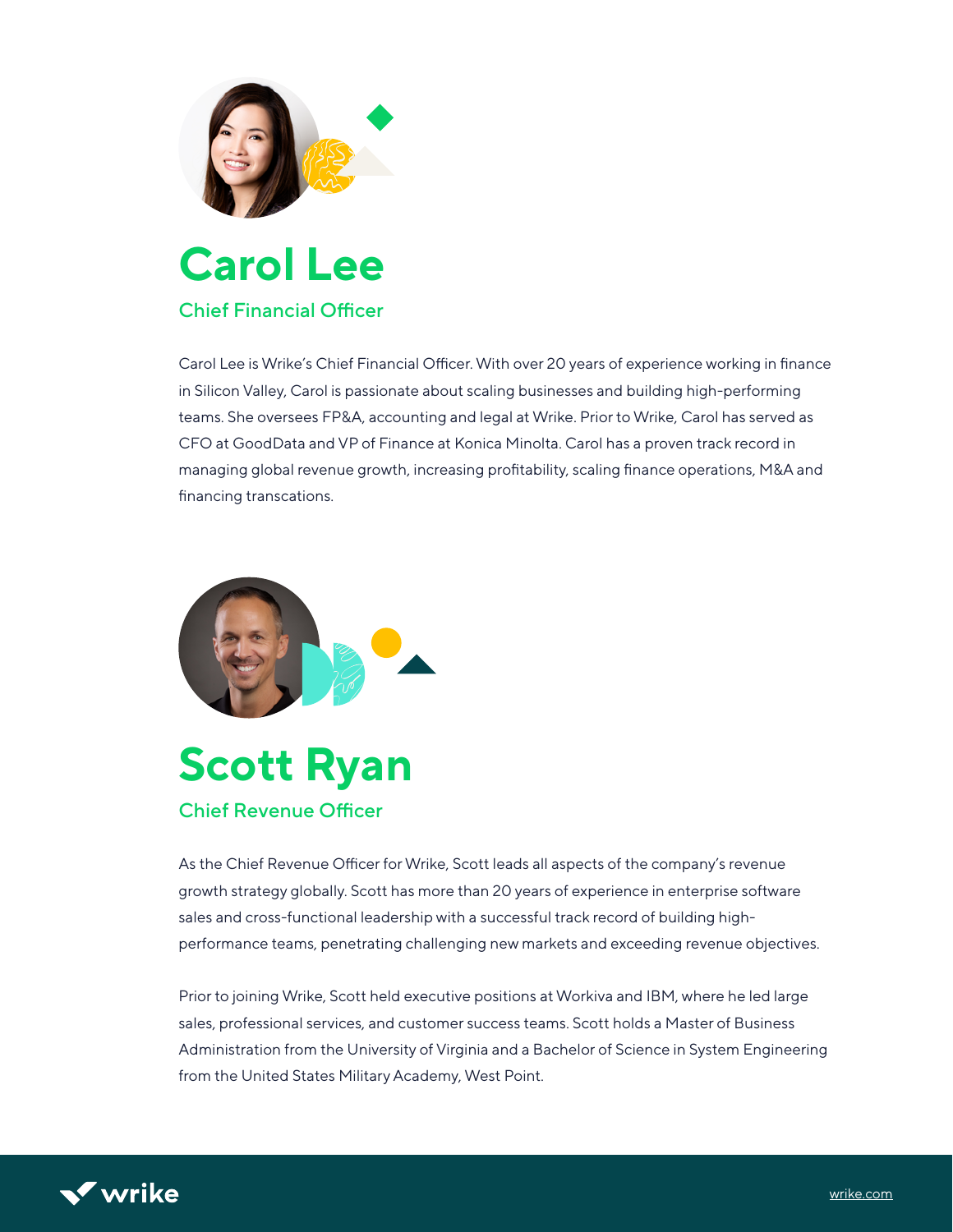

### **Carol Lee** Chief Financial Officer

Carol Lee is Wrike's Chief Financial Officer. With over 20 years of experience working in finance in Silicon Valley, Carol is passionate about scaling businesses and building high-performing teams. She oversees FP&A, accounting and legal at Wrike. Prior to Wrike, Carol has served as CFO at GoodData and VP of Finance at Konica Minolta. Carol has a proven track record in managing global revenue growth, increasing profitability, scaling finance operations, M&A and financing transcations.



## **Scott Ryan** Chief Revenue Officer

As the Chief Revenue Officer for Wrike, Scott leads all aspects of the company's revenue growth strategy globally. Scott has more than 20 years of experience in enterprise software sales and cross-functional leadership with a successful track record of building highperformance teams, penetrating challenging new markets and exceeding revenue objectives.

Prior to joining Wrike, Scott held executive positions at Workiva and IBM, where he led large sales, professional services, and customer success teams. Scott holds a Master of Business Administration from the University of Virginia and a Bachelor of Science in System Engineering from the United States Military Academy, West Point.

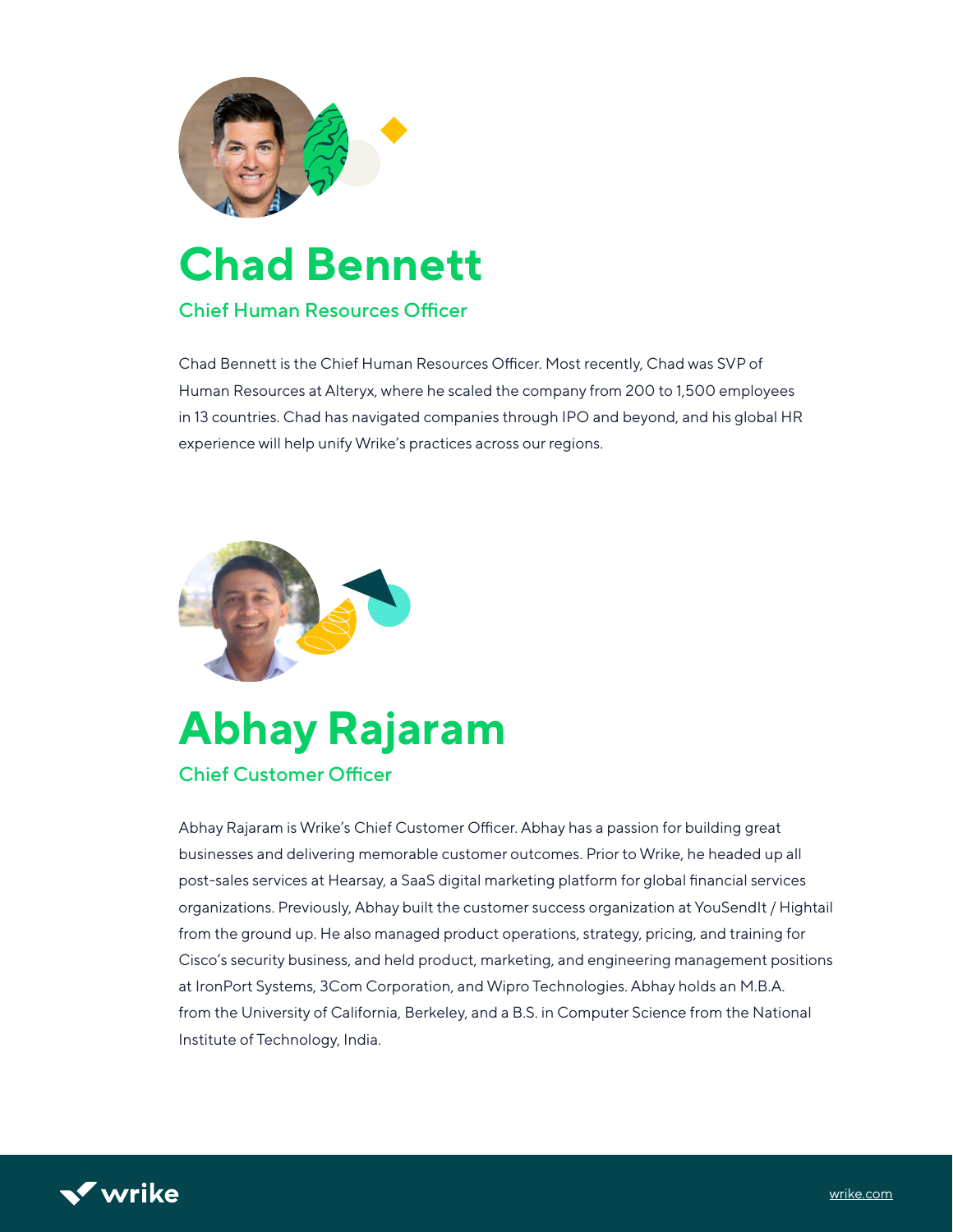

# **Chad Bennett**

#### Chief Human Resources Officer

Chad Bennett is the Chief Human Resources Officer. Most recently, Chad was SVP of Human Resources at Alteryx, where he scaled the company from 200 to 1,500 employees in 13 countries. Chad has navigated companies through IPO and beyond, and his global HR experience will help unify Wrike's practices across our regions.



# **Abhay Rajaram**

#### Chief Customer Officer

Abhay Rajaram is Wrike's Chief Customer Officer. Abhay has a passion for building great businesses and delivering memorable customer outcomes. Prior to Wrike, he headed up all post-sales services at Hearsay, a SaaS digital marketing platform for global financial services organizations. Previously, Abhay built the customer success organization at YouSendIt / Hightail from the ground up. He also managed product operations, strategy, pricing, and training for Cisco's security business, and held product, marketing, and engineering management positions at IronPort Systems, 3Com Corporation, and Wipro Technologies. Abhay holds an M.B.A. from the University of California, Berkeley, and a B.S. in Computer Science from the National Institute of Technology, India.